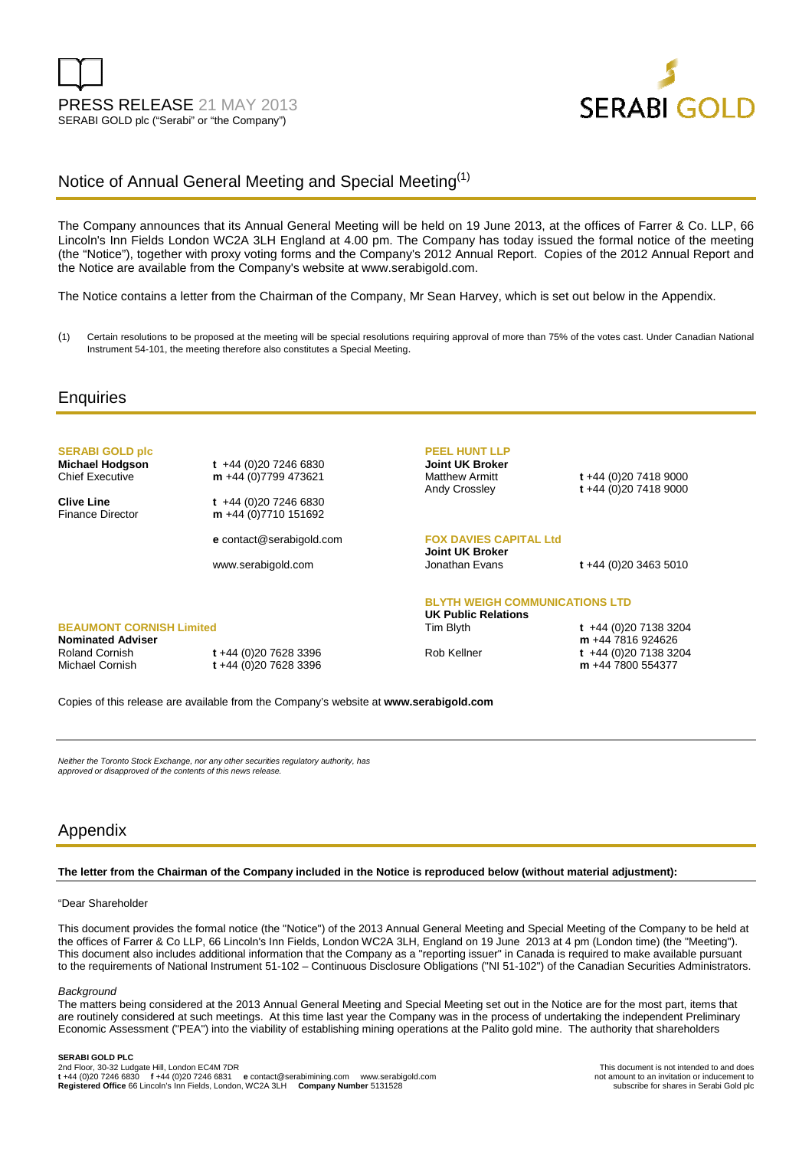

# Notice of Annual General Meeting and Special Meeting<sup>(1)</sup>

The Company announces that its Annual General Meeting will be held on 19 June 2013, at the offices of Farrer & Co. LLP, 66 Lincoln's Inn Fields London WC2A 3LH England at 4.00 pm. The Company has today issued the formal notice of the meeting (the "Notice"), together with proxy voting forms and the Company's 2012 Annual Report. Copies of the 2012 Annual Report and the Notice are available from the Company's website at www.serabigold.com.

The Notice contains a letter from the Chairman of the Company, Mr Sean Harvey, which is set out below in the Appendix.

(1) Certain resolutions to be proposed at the meeting will be special resolutions requiring approval of more than 75% of the votes cast. Under Canadian National Instrument 54-101, the meeting therefore also constitutes a Special Meeting.

## **Enquiries**

**SERABI GOLD plc** 

**BEAUMONT CORNISH Limited** 

**Nominated Adviser** 

**Michael Hodgson t** +44 (0)20 7246 6830 Chief Executive **m** +44 (0)7799 473621

**Clive Line** t +44 (0)20 7246 6830<br>Finance Director **m** +44 (0)7710 151692 m +44 (0)7710 151692

**e** contact@serabigold.com

www.serabigold.com

### **PEEL HUNT LLP**

**Joint UK Broker** 

Matthew Armitt **t** +44 (0)20 7418 9000 Andy Crossley **t** +44 (0)20 7418 9000

**FOX DAVIES CAPITAL Ltd Joint UK Broker** 

Jonathan Evans **t** +44 (0)20 3463 5010

#### **BLYTH WEIGH COMMUNICATIONS LTD UK Public Relations**

Tim Blyth **t** +44 (0)20 7138 3204 **m** +44 7816 924626 Rob Kellner **t** +44 (0)20 7138 3204 **m** +44 7800 554377

Copies of this release are available from the Company's website at **www.serabigold.com** 

Roland Cornish **t** +44 (0)20 7628 3396

Neither the Toronto Stock Exchange, nor any other securities regulatory authority, has approved or disapproved of the contents of this news release.

Michael Cornish **t** +44 (0)20 7628 3396

# Appendix

#### **The letter from the Chairman of the Company included in the Notice is reproduced below (without material adjustment):**

### "Dear Shareholder

This document provides the formal notice (the "Notice") of the 2013 Annual General Meeting and Special Meeting of the Company to be held at the offices of Farrer & Co LLP, 66 Lincoln's Inn Fields, London WC2A 3LH, England on 19 June 2013 at 4 pm (London time) (the "Meeting"). This document also includes additional information that the Company as a "reporting issuer" in Canada is required to make available pursuant to the requirements of National Instrument 51-102 – Continuous Disclosure Obligations ("NI 51-102") of the Canadian Securities Administrators.

#### **Background**

The matters being considered at the 2013 Annual General Meeting and Special Meeting set out in the Notice are for the most part, items that are routinely considered at such meetings. At this time last year the Company was in the process of undertaking the independent Preliminary Economic Assessment ("PEA") into the viability of establishing mining operations at the Palito gold mine. The authority that shareholders